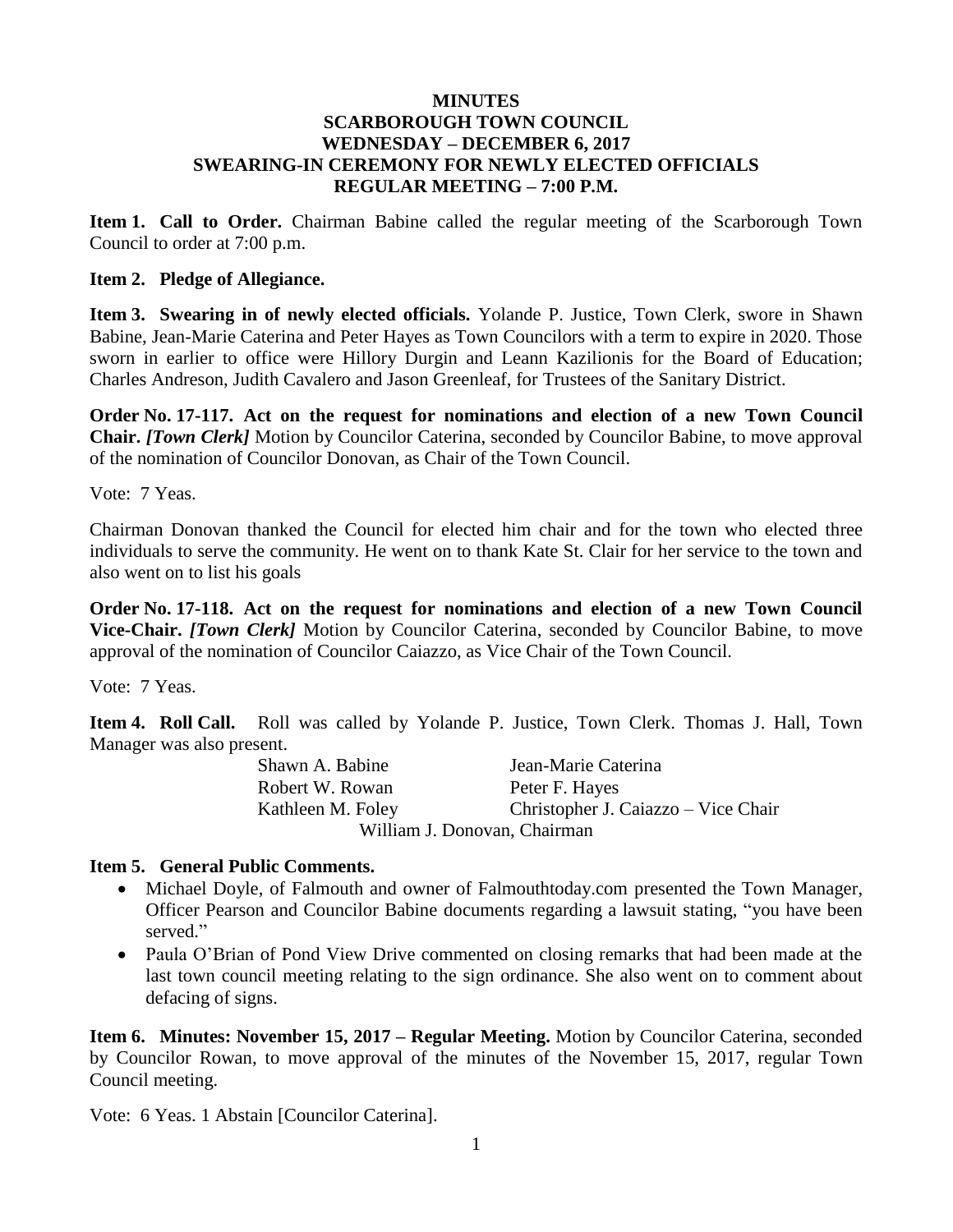## **MINUTES SCARBOROUGH TOWN COUNCIL WEDNESDAY – DECEMBER 6, 2017 SWEARING-IN CEREMONY FOR NEWLY ELECTED OFFICIALS REGULAR MEETING – 7:00 P.M.**

**Item 1. Call to Order.** Chairman Babine called the regular meeting of the Scarborough Town Council to order at 7:00 p.m.

### **Item 2. Pledge of Allegiance.**

**Item 3. Swearing in of newly elected officials.** Yolande P. Justice, Town Clerk, swore in Shawn Babine, Jean-Marie Caterina and Peter Hayes as Town Councilors with a term to expire in 2020. Those sworn in earlier to office were Hillory Durgin and Leann Kazilionis for the Board of Education; Charles Andreson, Judith Cavalero and Jason Greenleaf, for Trustees of the Sanitary District.

**Order No. 17-117. Act on the request for nominations and election of a new Town Council Chair.** *[Town Clerk]* Motion by Councilor Caterina, seconded by Councilor Babine, to move approval of the nomination of Councilor Donovan, as Chair of the Town Council.

Vote: 7 Yeas.

Chairman Donovan thanked the Council for elected him chair and for the town who elected three individuals to serve the community. He went on to thank Kate St. Clair for her service to the town and also went on to list his goals

**Order No. 17-118. Act on the request for nominations and election of a new Town Council Vice-Chair.** *[Town Clerk]* Motion by Councilor Caterina, seconded by Councilor Babine, to move approval of the nomination of Councilor Caiazzo, as Vice Chair of the Town Council.

Vote: 7 Yeas.

**Item 4. Roll Call.** Roll was called by Yolande P. Justice, Town Clerk. Thomas J. Hall, Town Manager was also present.

| Shawn A. Babine   | Jean-Marie Caterina                 |
|-------------------|-------------------------------------|
| Robert W. Rowan   | Peter F. Hayes                      |
| Kathleen M. Foley | Christopher J. Caiazzo – Vice Chair |
|                   | William J. Donovan, Chairman        |

## **Item 5. General Public Comments.**

- Michael Doyle, of Falmouth and owner of Falmouthtoday.com presented the Town Manager, Officer Pearson and Councilor Babine documents regarding a lawsuit stating, "you have been served."
- Paula O'Brian of Pond View Drive commented on closing remarks that had been made at the last town council meeting relating to the sign ordinance. She also went on to comment about defacing of signs.

**Item 6. Minutes: November 15, 2017 – Regular Meeting.** Motion by Councilor Caterina, seconded by Councilor Rowan, to move approval of the minutes of the November 15, 2017, regular Town Council meeting.

Vote: 6 Yeas. 1 Abstain [Councilor Caterina].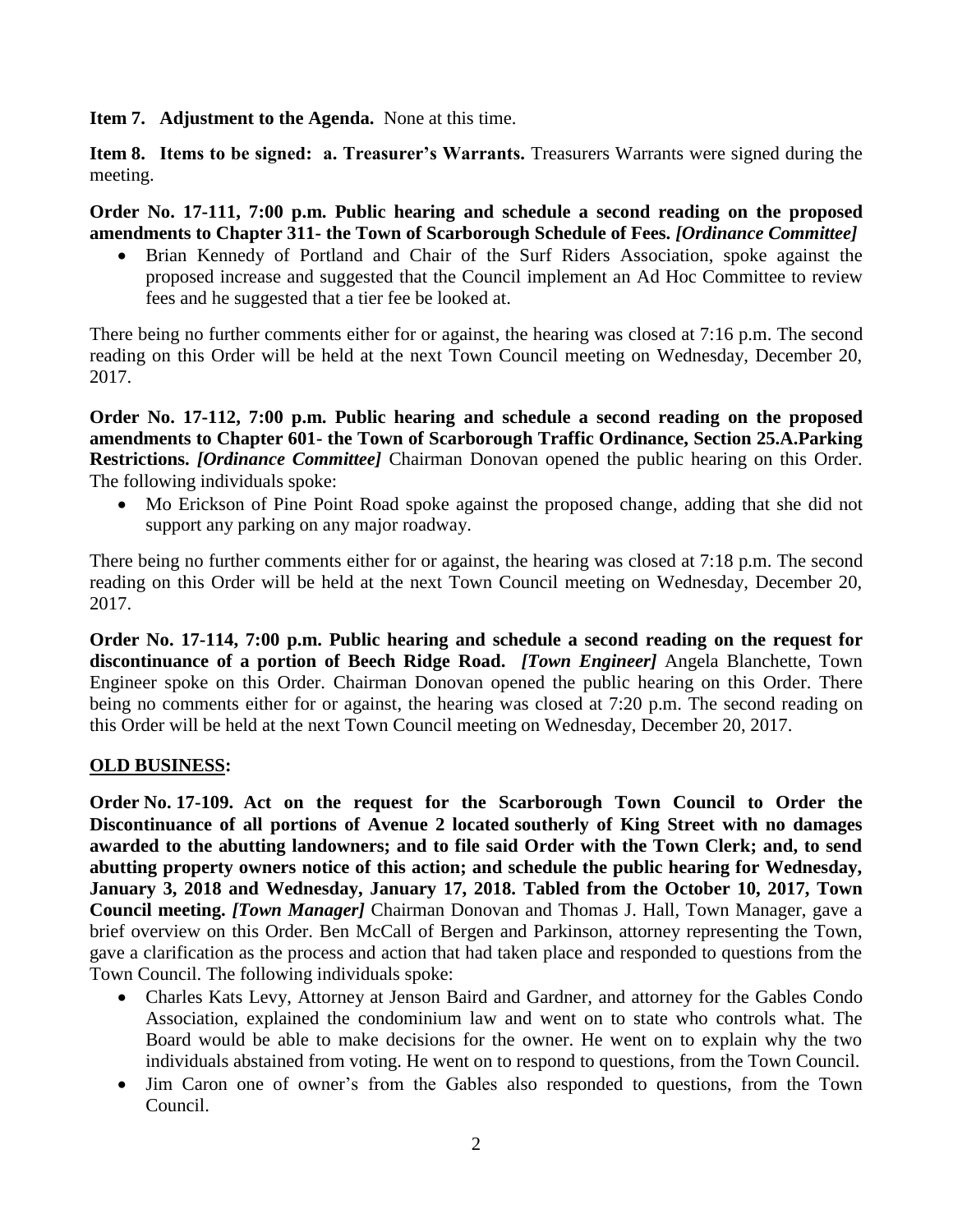**Item 7. Adjustment to the Agenda.** None at this time.

**Item 8. Items to be signed: a. Treasurer's Warrants.** Treasurers Warrants were signed during the meeting.

**Order No. 17-111, 7:00 p.m. Public hearing and schedule a second reading on the proposed amendments to Chapter 311- the Town of Scarborough Schedule of Fees.** *[Ordinance Committee]*

 Brian Kennedy of Portland and Chair of the Surf Riders Association, spoke against the proposed increase and suggested that the Council implement an Ad Hoc Committee to review fees and he suggested that a tier fee be looked at.

There being no further comments either for or against, the hearing was closed at 7:16 p.m. The second reading on this Order will be held at the next Town Council meeting on Wednesday, December 20, 2017.

**Order No. 17-112, 7:00 p.m. Public hearing and schedule a second reading on the proposed amendments to Chapter 601- the Town of Scarborough Traffic Ordinance, Section 25.A.Parking Restrictions.** *[Ordinance Committee]* Chairman Donovan opened the public hearing on this Order. The following individuals spoke:

• Mo Erickson of Pine Point Road spoke against the proposed change, adding that she did not support any parking on any major roadway.

There being no further comments either for or against, the hearing was closed at 7:18 p.m. The second reading on this Order will be held at the next Town Council meeting on Wednesday, December 20, 2017.

**Order No. 17-114, 7:00 p.m. Public hearing and schedule a second reading on the request for discontinuance of a portion of Beech Ridge Road.** *[Town Engineer]* Angela Blanchette, Town Engineer spoke on this Order. Chairman Donovan opened the public hearing on this Order. There being no comments either for or against, the hearing was closed at 7:20 p.m. The second reading on this Order will be held at the next Town Council meeting on Wednesday, December 20, 2017.

# **OLD BUSINESS:**

**Order No. 17-109. Act on the request for the Scarborough Town Council to Order the Discontinuance of all portions of Avenue 2 located southerly of King Street with no damages awarded to the abutting landowners; and to file said Order with the Town Clerk; and, to send abutting property owners notice of this action; and schedule the public hearing for Wednesday, January 3, 2018 and Wednesday, January 17, 2018. Tabled from the October 10, 2017, Town Council meeting.** *[Town Manager]* Chairman Donovan and Thomas J. Hall, Town Manager, gave a brief overview on this Order. Ben McCall of Bergen and Parkinson, attorney representing the Town, gave a clarification as the process and action that had taken place and responded to questions from the Town Council. The following individuals spoke:

- Charles Kats Levy, Attorney at Jenson Baird and Gardner, and attorney for the Gables Condo Association, explained the condominium law and went on to state who controls what. The Board would be able to make decisions for the owner. He went on to explain why the two individuals abstained from voting. He went on to respond to questions, from the Town Council.
- Jim Caron one of owner's from the Gables also responded to questions, from the Town Council.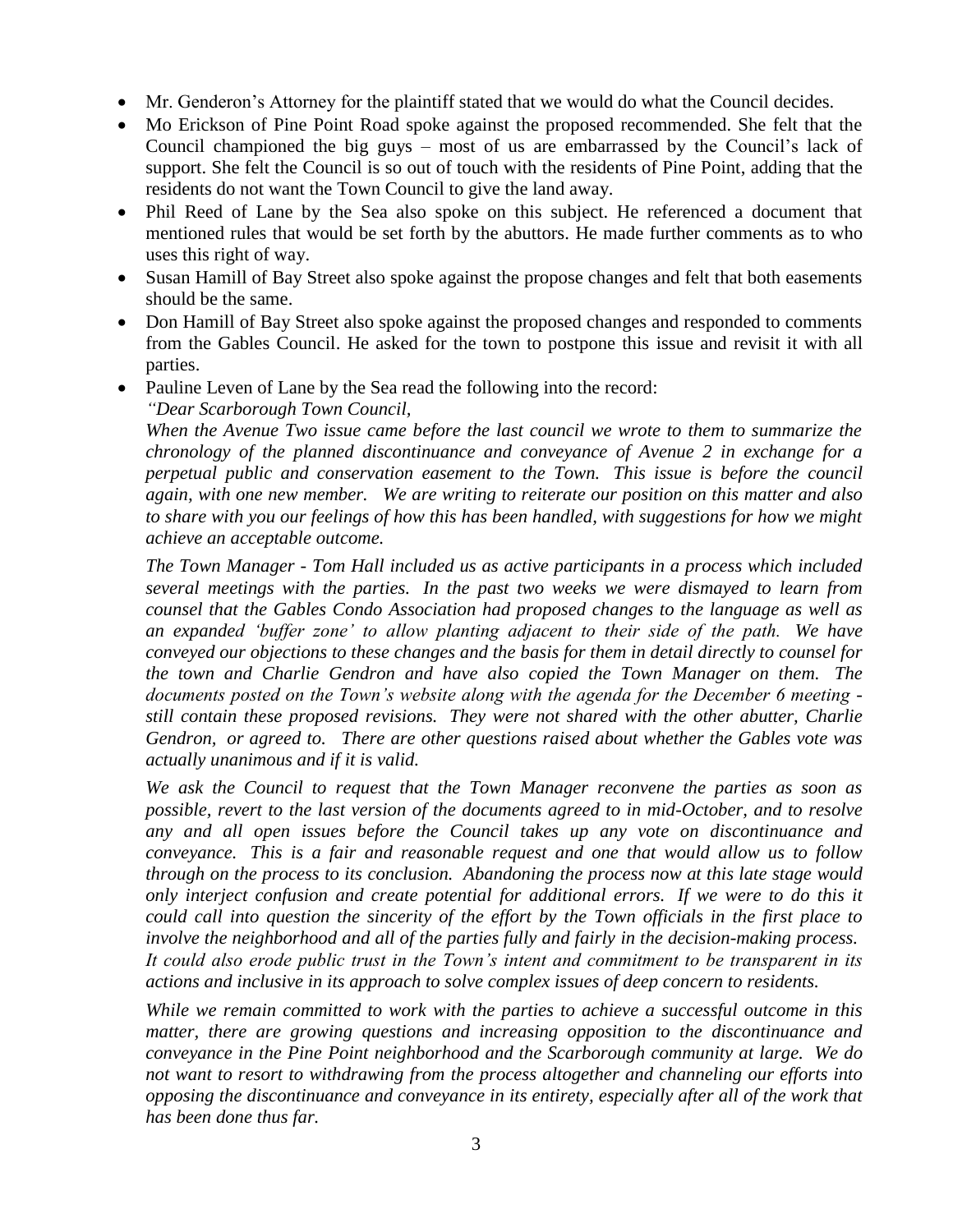- Mr. Genderon's Attorney for the plaintiff stated that we would do what the Council decides.
- Mo Erickson of Pine Point Road spoke against the proposed recommended. She felt that the Council championed the big guys – most of us are embarrassed by the Council's lack of support. She felt the Council is so out of touch with the residents of Pine Point, adding that the residents do not want the Town Council to give the land away.
- Phil Reed of Lane by the Sea also spoke on this subject. He referenced a document that mentioned rules that would be set forth by the abuttors. He made further comments as to who uses this right of way.
- Susan Hamill of Bay Street also spoke against the propose changes and felt that both easements should be the same.
- Don Hamill of Bay Street also spoke against the proposed changes and responded to comments from the Gables Council. He asked for the town to postpone this issue and revisit it with all parties.
- Pauline Leven of Lane by the Sea read the following into the record:
	- *"Dear Scarborough Town Council,*

*When the Avenue Two issue came before the last council we wrote to them to summarize the chronology of the planned discontinuance and conveyance of Avenue 2 in exchange for a perpetual public and conservation easement to the Town. This issue is before the council again, with one new member. We are writing to reiterate our position on this matter and also to share with you our feelings of how this has been handled, with suggestions for how we might achieve an acceptable outcome.*

*The Town Manager - Tom Hall included us as active participants in a process which included several meetings with the parties. In the past two weeks we were dismayed to learn from counsel that the Gables Condo Association had proposed changes to the language as well as an expanded 'buffer zone' to allow planting adjacent to their side of the path. We have conveyed our objections to these changes and the basis for them in detail directly to counsel for the town and Charlie Gendron and have also copied the Town Manager on them. The documents posted on the Town's website along with the agenda for the December 6 meeting still contain these proposed revisions. They were not shared with the other abutter, Charlie Gendron, or agreed to. There are other questions raised about whether the Gables vote was actually unanimous and if it is valid.*

*We ask the Council to request that the Town Manager reconvene the parties as soon as possible, revert to the last version of the documents agreed to in mid-October, and to resolve any and all open issues before the Council takes up any vote on discontinuance and conveyance. This is a fair and reasonable request and one that would allow us to follow through on the process to its conclusion. Abandoning the process now at this late stage would only interject confusion and create potential for additional errors. If we were to do this it could call into question the sincerity of the effort by the Town officials in the first place to involve the neighborhood and all of the parties fully and fairly in the decision-making process. It could also erode public trust in the Town's intent and commitment to be transparent in its actions and inclusive in its approach to solve complex issues of deep concern to residents.*

*While we remain committed to work with the parties to achieve a successful outcome in this matter, there are growing questions and increasing opposition to the discontinuance and conveyance in the Pine Point neighborhood and the Scarborough community at large. We do not want to resort to withdrawing from the process altogether and channeling our efforts into opposing the discontinuance and conveyance in its entirety, especially after all of the work that has been done thus far.*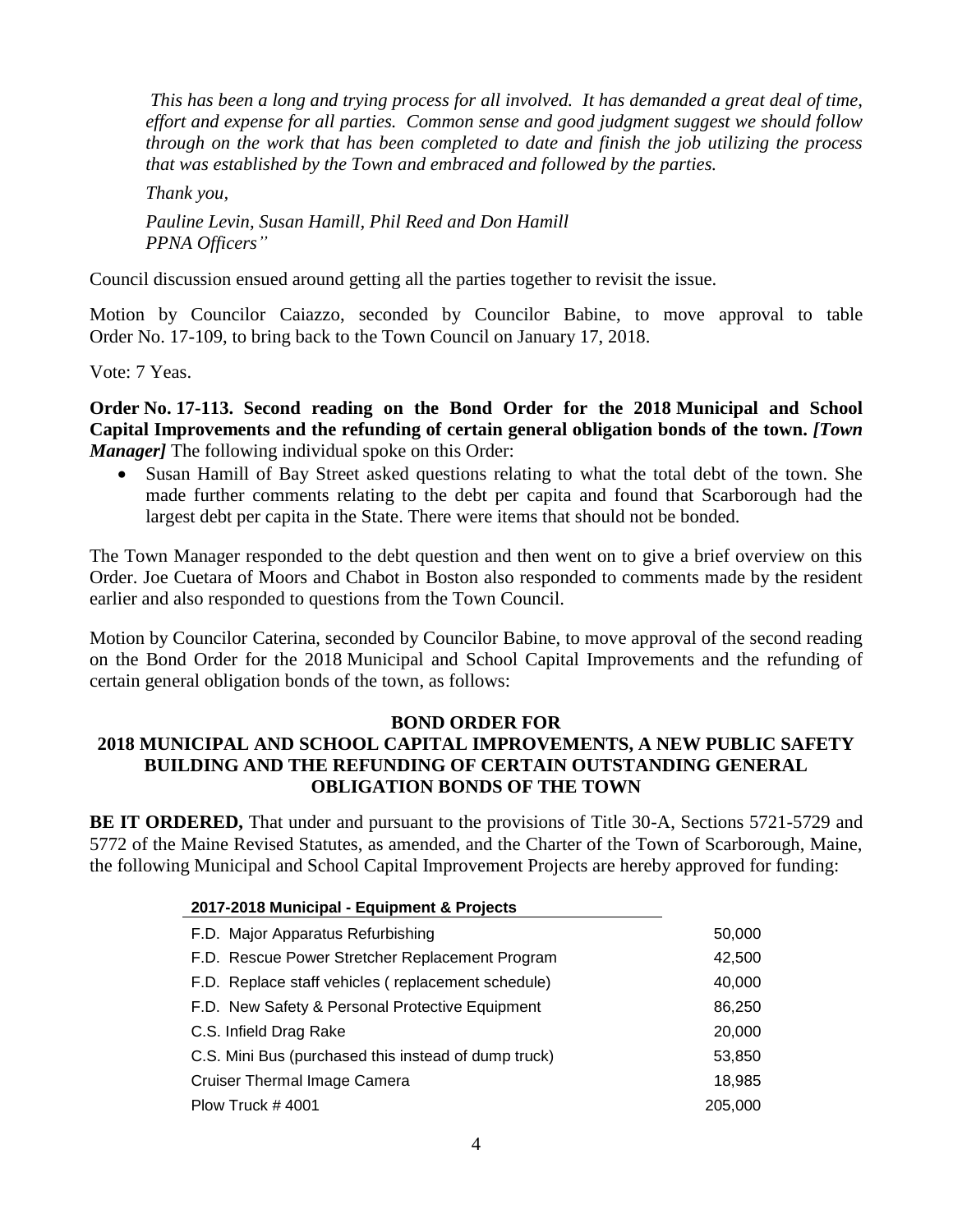*This has been a long and trying process for all involved. It has demanded a great deal of time, effort and expense for all parties. Common sense and good judgment suggest we should follow through on the work that has been completed to date and finish the job utilizing the process that was established by the Town and embraced and followed by the parties.*

*Thank you, Pauline Levin, Susan Hamill, Phil Reed and Don Hamill PPNA Officers"*

Council discussion ensued around getting all the parties together to revisit the issue.

Motion by Councilor Caiazzo, seconded by Councilor Babine, to move approval to table Order No. 17-109, to bring back to the Town Council on January 17, 2018.

Vote: 7 Yeas.

**Order No. 17-113. Second reading on the Bond Order for the 2018 Municipal and School Capital Improvements and the refunding of certain general obligation bonds of the town.** *[Town Manager]* The following individual spoke on this Order:

 Susan Hamill of Bay Street asked questions relating to what the total debt of the town. She made further comments relating to the debt per capita and found that Scarborough had the largest debt per capita in the State. There were items that should not be bonded.

The Town Manager responded to the debt question and then went on to give a brief overview on this Order. Joe Cuetara of Moors and Chabot in Boston also responded to comments made by the resident earlier and also responded to questions from the Town Council.

Motion by Councilor Caterina, seconded by Councilor Babine, to move approval of the second reading on the Bond Order for the 2018 Municipal and School Capital Improvements and the refunding of certain general obligation bonds of the town, as follows:

# **BOND ORDER FOR**

## **2018 MUNICIPAL AND SCHOOL CAPITAL IMPROVEMENTS, A NEW PUBLIC SAFETY BUILDING AND THE REFUNDING OF CERTAIN OUTSTANDING GENERAL OBLIGATION BONDS OF THE TOWN**

**BE IT ORDERED,** That under and pursuant to the provisions of Title 30-A, Sections 5721-5729 and 5772 of the Maine Revised Statutes, as amended, and the Charter of the Town of Scarborough, Maine, the following Municipal and School Capital Improvement Projects are hereby approved for funding:

| 2017-2018 Municipal - Equipment & Projects           |         |
|------------------------------------------------------|---------|
| F.D. Major Apparatus Refurbishing                    | 50,000  |
| F.D. Rescue Power Stretcher Replacement Program      | 42,500  |
| F.D. Replace staff vehicles (replacement schedule)   | 40,000  |
| F.D. New Safety & Personal Protective Equipment      | 86,250  |
| C.S. Infield Drag Rake                               | 20,000  |
| C.S. Mini Bus (purchased this instead of dump truck) | 53,850  |
| <b>Cruiser Thermal Image Camera</b>                  | 18,985  |
| Plow Truck $\#$ 4001                                 | 205,000 |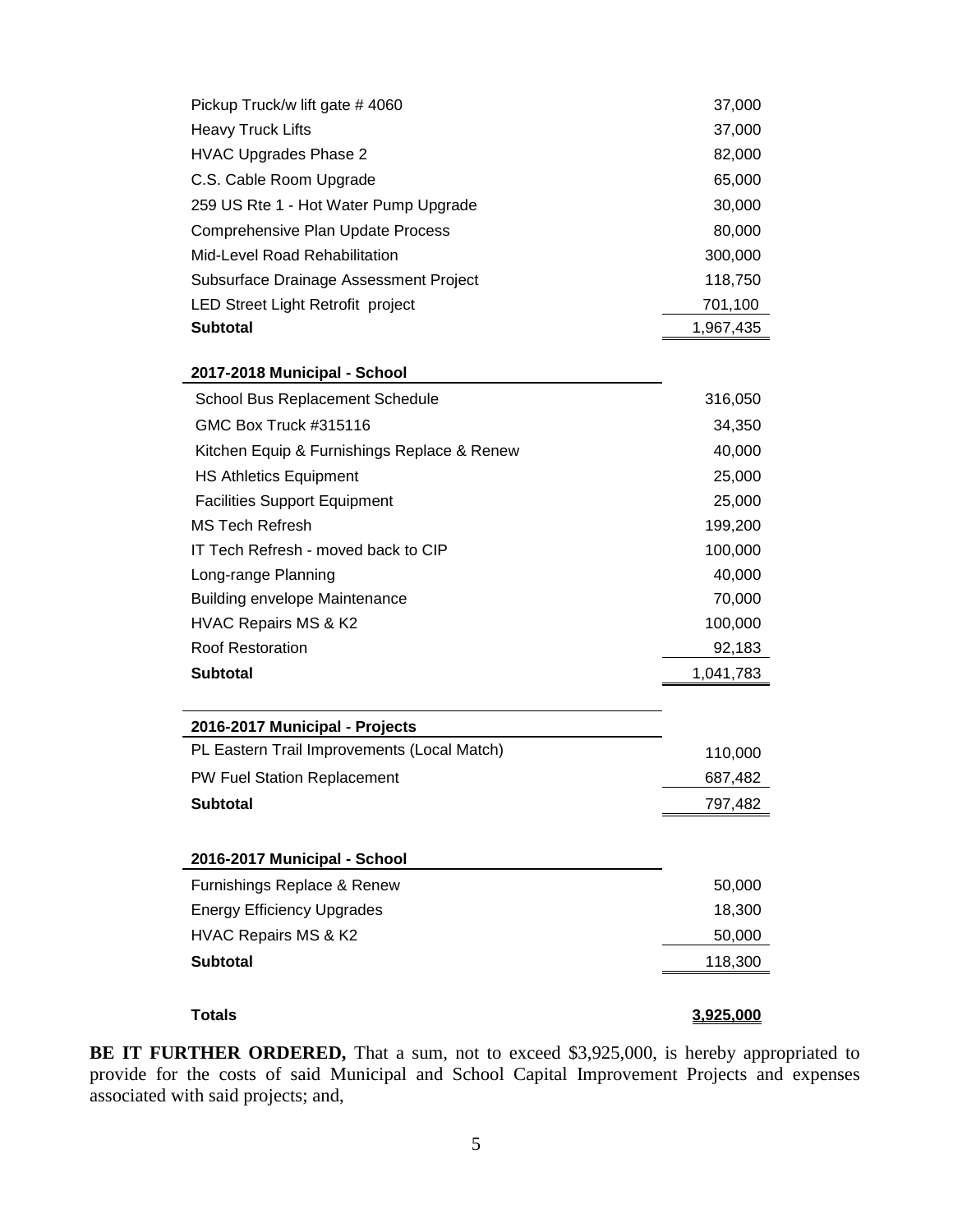| Pickup Truck/w lift gate #4060              | 37,000    |
|---------------------------------------------|-----------|
| <b>Heavy Truck Lifts</b>                    | 37,000    |
| <b>HVAC Upgrades Phase 2</b>                | 82,000    |
| C.S. Cable Room Upgrade                     | 65,000    |
| 259 US Rte 1 - Hot Water Pump Upgrade       | 30,000    |
| <b>Comprehensive Plan Update Process</b>    | 80,000    |
| Mid-Level Road Rehabilitation               | 300,000   |
| Subsurface Drainage Assessment Project      | 118,750   |
| LED Street Light Retrofit project           | 701,100   |
| <b>Subtotal</b>                             | 1,967,435 |
| 2017-2018 Municipal - School                |           |
| <b>School Bus Replacement Schedule</b>      | 316,050   |
| GMC Box Truck #315116                       | 34,350    |
| Kitchen Equip & Furnishings Replace & Renew | 40,000    |
| <b>HS Athletics Equipment</b>               | 25,000    |
| <b>Facilities Support Equipment</b>         | 25,000    |
| <b>MS Tech Refresh</b>                      | 199,200   |
| IT Tech Refresh - moved back to CIP         | 100,000   |
| Long-range Planning                         | 40,000    |
| <b>Building envelope Maintenance</b>        | 70,000    |
| HVAC Repairs MS & K2                        | 100,000   |
| <b>Roof Restoration</b>                     | 92,183    |
| <b>Subtotal</b>                             | 1,041,783 |
|                                             |           |
| 2016-2017 Municipal - Projects              |           |
| PL Eastern Trail Improvements (Local Match) | 110,000   |
| PW Fuel Station Replacement                 | 687,482   |
| <b>Subtotal</b>                             | 797,482   |
|                                             |           |
| 2016-2017 Municipal - School                |           |
| Furnishings Replace & Renew                 | 50,000    |
| <b>Energy Efficiency Upgrades</b>           | 18,300    |
| HVAC Repairs MS & K2                        | 50,000    |
| <b>Subtotal</b>                             | 118,300   |
|                                             |           |
| <b>Totals</b>                               | 3,925,000 |

**BE IT FURTHER ORDERED,** That a sum, not to exceed \$3,925,000, is hereby appropriated to provide for the costs of said Municipal and School Capital Improvement Projects and expenses associated with said projects; and,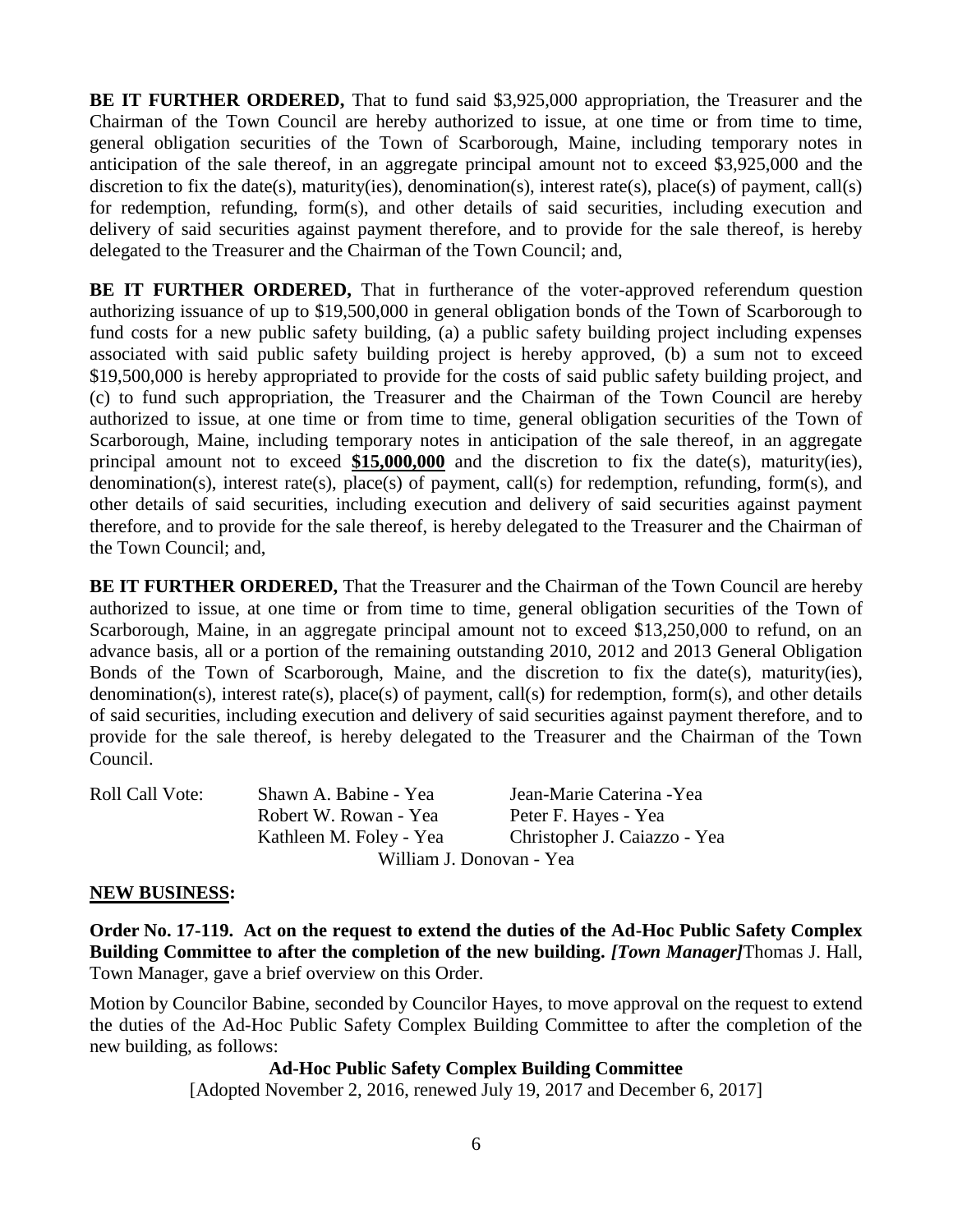**BE IT FURTHER ORDERED,** That to fund said \$3,925,000 appropriation, the Treasurer and the Chairman of the Town Council are hereby authorized to issue, at one time or from time to time, general obligation securities of the Town of Scarborough, Maine, including temporary notes in anticipation of the sale thereof, in an aggregate principal amount not to exceed \$3,925,000 and the discretion to fix the date(s), maturity(ies), denomination(s), interest rate(s), place(s) of payment, call(s) for redemption, refunding, form(s), and other details of said securities, including execution and delivery of said securities against payment therefore, and to provide for the sale thereof, is hereby delegated to the Treasurer and the Chairman of the Town Council; and,

**BE IT FURTHER ORDERED,** That in furtherance of the voter-approved referendum question authorizing issuance of up to \$19,500,000 in general obligation bonds of the Town of Scarborough to fund costs for a new public safety building, (a) a public safety building project including expenses associated with said public safety building project is hereby approved, (b) a sum not to exceed \$19,500,000 is hereby appropriated to provide for the costs of said public safety building project, and (c) to fund such appropriation, the Treasurer and the Chairman of the Town Council are hereby authorized to issue, at one time or from time to time, general obligation securities of the Town of Scarborough, Maine, including temporary notes in anticipation of the sale thereof, in an aggregate principal amount not to exceed **\$15,000,000** and the discretion to fix the date(s), maturity(ies), denomination(s), interest rate(s), place(s) of payment, call(s) for redemption, refunding, form(s), and other details of said securities, including execution and delivery of said securities against payment therefore, and to provide for the sale thereof, is hereby delegated to the Treasurer and the Chairman of the Town Council; and,

**BE IT FURTHER ORDERED,** That the Treasurer and the Chairman of the Town Council are hereby authorized to issue, at one time or from time to time, general obligation securities of the Town of Scarborough, Maine, in an aggregate principal amount not to exceed \$13,250,000 to refund, on an advance basis, all or a portion of the remaining outstanding 2010, 2012 and 2013 General Obligation Bonds of the Town of Scarborough, Maine, and the discretion to fix the date(s), maturity(ies), denomination(s), interest rate(s), place(s) of payment, call(s) for redemption, form(s), and other details of said securities, including execution and delivery of said securities against payment therefore, and to provide for the sale thereof, is hereby delegated to the Treasurer and the Chairman of the Town Council.

| Roll Call Vote: | Shawn A. Babine - Yea    | Jean-Marie Caterina - Yea    |
|-----------------|--------------------------|------------------------------|
|                 | Robert W. Rowan - Yea    | Peter F. Hayes - Yea         |
|                 | Kathleen M. Foley - Yea  | Christopher J. Caiazzo - Yea |
|                 |                          |                              |
|                 | William J. Donovan - Yea |                              |

## **NEW BUSINESS:**

**Order No. 17-119. Act on the request to extend the duties of the Ad-Hoc Public Safety Complex Building Committee to after the completion of the new building.** *[Town Manager]*Thomas J. Hall, Town Manager, gave a brief overview on this Order.

Motion by Councilor Babine, seconded by Councilor Hayes, to move approval on the request to extend the duties of the Ad-Hoc Public Safety Complex Building Committee to after the completion of the new building, as follows:

#### **Ad-Hoc Public Safety Complex Building Committee**

[Adopted November 2, 2016, renewed July 19, 2017 and December 6, 2017]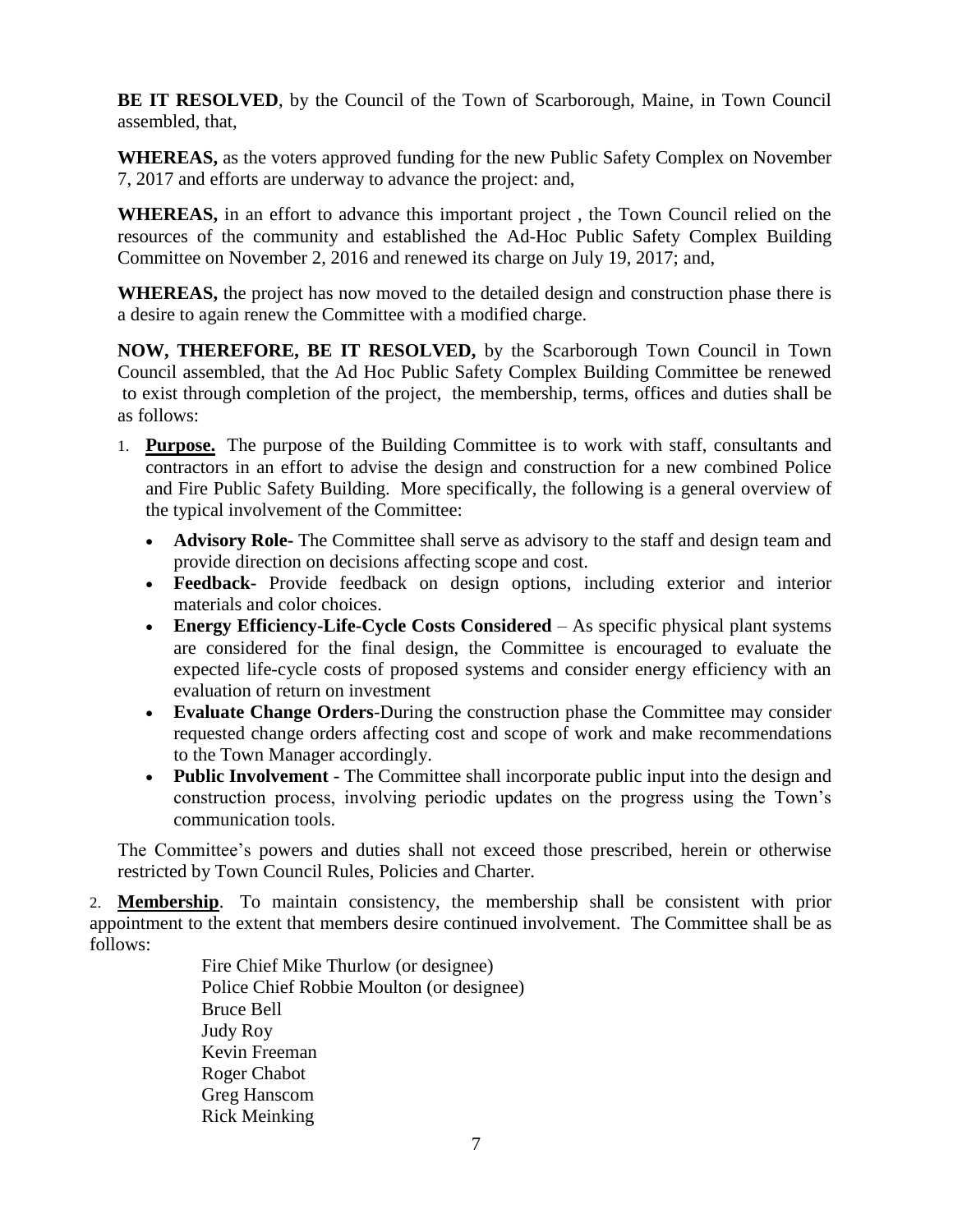**BE IT RESOLVED**, by the Council of the Town of Scarborough, Maine, in Town Council assembled, that,

**WHEREAS,** as the voters approved funding for the new Public Safety Complex on November 7, 2017 and efforts are underway to advance the project: and,

**WHEREAS,** in an effort to advance this important project , the Town Council relied on the resources of the community and established the Ad-Hoc Public Safety Complex Building Committee on November 2, 2016 and renewed its charge on July 19, 2017; and,

**WHEREAS,** the project has now moved to the detailed design and construction phase there is a desire to again renew the Committee with a modified charge.

**NOW, THEREFORE, BE IT RESOLVED,** by the Scarborough Town Council in Town Council assembled, that the Ad Hoc Public Safety Complex Building Committee be renewed to exist through completion of the project, the membership, terms, offices and duties shall be as follows:

- 1. **Purpose.** The purpose of the Building Committee is to work with staff, consultants and contractors in an effort to advise the design and construction for a new combined Police and Fire Public Safety Building. More specifically, the following is a general overview of the typical involvement of the Committee:
	- **Advisory Role-** The Committee shall serve as advisory to the staff and design team and provide direction on decisions affecting scope and cost.
	- **Feedback-** Provide feedback on design options, including exterior and interior materials and color choices.
	- **Energy Efficiency-Life-Cycle Costs Considered**  As specific physical plant systems are considered for the final design, the Committee is encouraged to evaluate the expected life-cycle costs of proposed systems and consider energy efficiency with an evaluation of return on investment
	- **Evaluate Change Orders**-During the construction phase the Committee may consider requested change orders affecting cost and scope of work and make recommendations to the Town Manager accordingly.
	- **Public Involvement**  The Committee shall incorporate public input into the design and construction process, involving periodic updates on the progress using the Town's communication tools.

The Committee's powers and duties shall not exceed those prescribed, herein or otherwise restricted by Town Council Rules, Policies and Charter.

2. **Membership**. To maintain consistency, the membership shall be consistent with prior appointment to the extent that members desire continued involvement. The Committee shall be as follows:

Fire Chief Mike Thurlow (or designee) Police Chief Robbie Moulton (or designee) Bruce Bell Judy Roy Kevin Freeman Roger Chabot Greg Hanscom Rick Meinking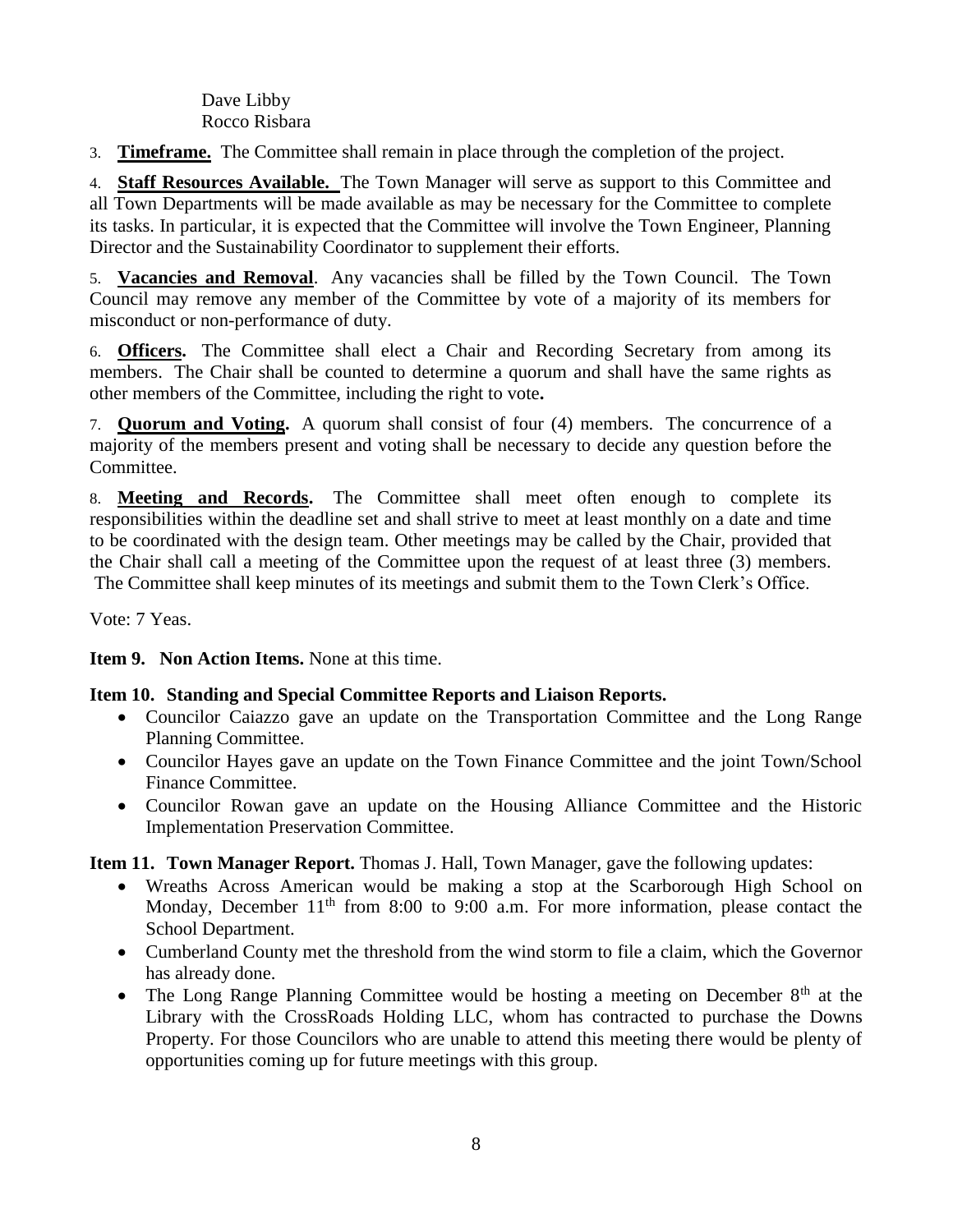Dave Libby Rocco Risbara

3. **Timeframe.** The Committee shall remain in place through the completion of the project.

4. **Staff Resources Available.** The Town Manager will serve as support to this Committee and all Town Departments will be made available as may be necessary for the Committee to complete its tasks. In particular, it is expected that the Committee will involve the Town Engineer, Planning Director and the Sustainability Coordinator to supplement their efforts.

5. **Vacancies and Removal**. Any vacancies shall be filled by the Town Council. The Town Council may remove any member of the Committee by vote of a majority of its members for misconduct or non-performance of duty.

6. **Officers.** The Committee shall elect a Chair and Recording Secretary from among its members. The Chair shall be counted to determine a quorum and shall have the same rights as other members of the Committee, including the right to vote**.**

7. **Quorum and Voting.** A quorum shall consist of four (4) members. The concurrence of a majority of the members present and voting shall be necessary to decide any question before the Committee.

8. **Meeting and Records.** The Committee shall meet often enough to complete its responsibilities within the deadline set and shall strive to meet at least monthly on a date and time to be coordinated with the design team. Other meetings may be called by the Chair, provided that the Chair shall call a meeting of the Committee upon the request of at least three (3) members. The Committee shall keep minutes of its meetings and submit them to the Town Clerk's Office.

Vote: 7 Yeas.

**Item 9. Non Action Items.** None at this time.

# **Item 10. Standing and Special Committee Reports and Liaison Reports.**

- Councilor Caiazzo gave an update on the Transportation Committee and the Long Range Planning Committee.
- Councilor Hayes gave an update on the Town Finance Committee and the joint Town/School Finance Committee.
- Councilor Rowan gave an update on the Housing Alliance Committee and the Historic Implementation Preservation Committee.

**Item 11. Town Manager Report.** Thomas J. Hall, Town Manager, gave the following updates:

- Wreaths Across American would be making a stop at the Scarborough High School on Monday, December  $11<sup>th</sup>$  from 8:00 to 9:00 a.m. For more information, please contact the School Department.
- Cumberland County met the threshold from the wind storm to file a claim, which the Governor has already done.
- $\bullet$  The Long Range Planning Committee would be hosting a meeting on December  $8<sup>th</sup>$  at the Library with the CrossRoads Holding LLC, whom has contracted to purchase the Downs Property. For those Councilors who are unable to attend this meeting there would be plenty of opportunities coming up for future meetings with this group.